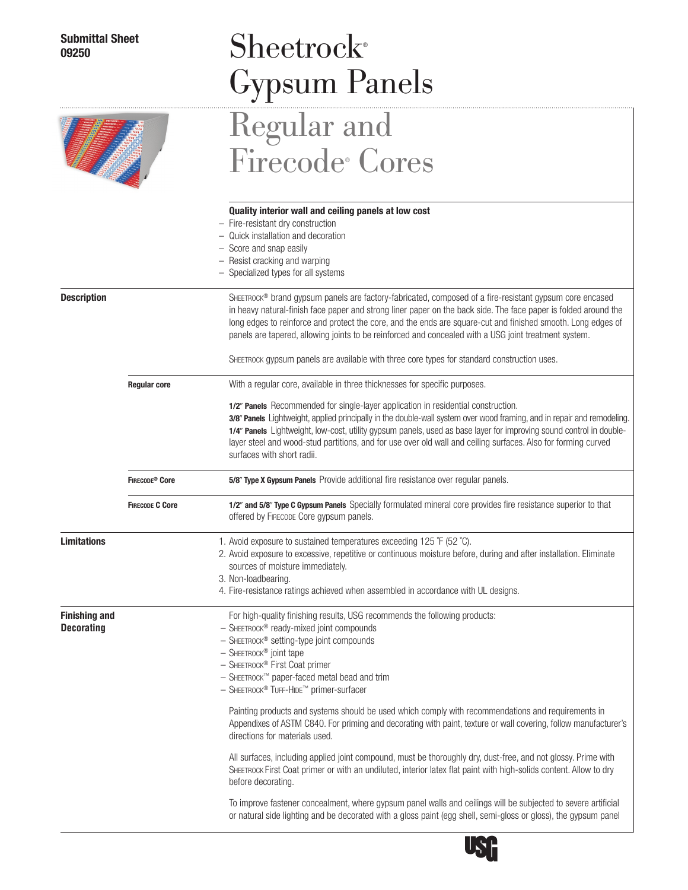# $S$ heetrock® Gypsum Panels Regular and

# EET S

|                                           |                            | <b>Firecode Cores</b>                                                                                                                                                                                                                                                                                                                                                                                                                                                                                                                                            |  |  |  |  |  |
|-------------------------------------------|----------------------------|------------------------------------------------------------------------------------------------------------------------------------------------------------------------------------------------------------------------------------------------------------------------------------------------------------------------------------------------------------------------------------------------------------------------------------------------------------------------------------------------------------------------------------------------------------------|--|--|--|--|--|
|                                           |                            | Quality interior wall and ceiling panels at low cost<br>- Fire-resistant dry construction<br>- Quick installation and decoration<br>Score and snap easily<br>- Resist cracking and warping<br>- Specialized types for all systems                                                                                                                                                                                                                                                                                                                                |  |  |  |  |  |
| <b>Description</b>                        |                            | SHEETROCK® brand gypsum panels are factory-fabricated, composed of a fire-resistant gypsum core encased<br>in heavy natural-finish face paper and strong liner paper on the back side. The face paper is folded around the<br>long edges to reinforce and protect the core, and the ends are square-cut and finished smooth. Long edges of<br>panels are tapered, allowing joints to be reinforced and concealed with a USG joint treatment system.<br>SHEETROCK gypsum panels are available with three core types for standard construction uses.               |  |  |  |  |  |
|                                           | <b>Regular core</b>        | With a regular core, available in three thicknesses for specific purposes.<br>1/2" Panels Recommended for single-layer application in residential construction.<br>3/8" Panels Lightweight, applied principally in the double-wall system over wood framing, and in repair and remodeling.<br>1/4" Panels Lightweight, low-cost, utility gypsum panels, used as base layer for improving sound control in double-<br>layer steel and wood-stud partitions, and for use over old wall and ceiling surfaces. Also for forming curved<br>surfaces with short radii. |  |  |  |  |  |
|                                           | FIRECODE <sup>®</sup> Core | 5/8" Type X Gypsum Panels Provide additional fire resistance over regular panels.                                                                                                                                                                                                                                                                                                                                                                                                                                                                                |  |  |  |  |  |
|                                           | <b>FIRECODE C Core</b>     | 1/2" and 5/8" Type C Gypsum Panels Specially formulated mineral core provides fire resistance superior to that<br>offered by FIRECODE Core gypsum panels.                                                                                                                                                                                                                                                                                                                                                                                                        |  |  |  |  |  |
| <b>Limitations</b>                        |                            | 1. Avoid exposure to sustained temperatures exceeding 125 °F (52 °C).<br>2. Avoid exposure to excessive, repetitive or continuous moisture before, during and after installation. Eliminate<br>sources of moisture immediately.<br>3. Non-loadbearing.<br>4. Fire-resistance ratings achieved when assembled in accordance with UL designs.                                                                                                                                                                                                                      |  |  |  |  |  |
| <b>Finishing and</b><br><b>Decorating</b> |                            | For high-quality finishing results, USG recommends the following products:<br>- SHEETROCK® ready-mixed joint compounds<br>- SHEETROCK® setting-type joint compounds<br>$-$ SHEETROCK <sup>®</sup> joint tape<br>- SHEETROCK® First Coat primer<br>- SHEETROCK™ paper-faced metal bead and trim<br>- SHEETROCK® TUFF-HIDE™ primer-surfacer                                                                                                                                                                                                                        |  |  |  |  |  |
|                                           |                            | Painting products and systems should be used which comply with recommendations and requirements in<br>Appendixes of ASTM C840. For priming and decorating with paint, texture or wall covering, follow manufacturer's<br>directions for materials used.                                                                                                                                                                                                                                                                                                          |  |  |  |  |  |
|                                           |                            | All surfaces, including applied joint compound, must be thoroughly dry, dust-free, and not glossy. Prime with<br>SHEETROCK First Coat primer or with an undiluted, interior latex flat paint with high-solids content. Allow to dry<br>before decorating.                                                                                                                                                                                                                                                                                                        |  |  |  |  |  |

To improve fastener concealment, where gypsum panel walls and ceilings will be subjected to severe artificial or natural side lighting and be decorated with a gloss paint (egg shell, semi-gloss or gloss), the gypsum panel